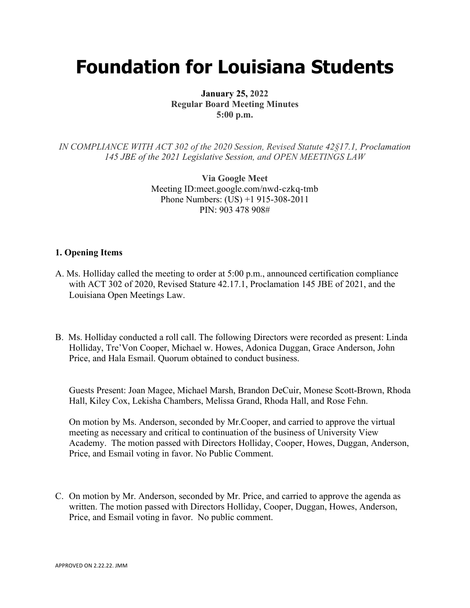# **Foundation for Louisiana Students**

**January 25, 2022 Regular Board Meeting Minutes 5:00 p.m.**

*IN COMPLIANCE WITH ACT 302 of the 2020 Session, Revised Statute 42§17.1, Proclamation 145 JBE of the 2021 Legislative Session, and OPEN MEETINGS LAW*

> **Via Google Meet**  Meeting ID:meet.google.com/nwd-czkq-tmb Phone Numbers: (US) +1 915-308-2011 PIN: 903 478 908#

## **1. Opening Items**

- A. Ms. Holliday called the meeting to order at 5:00 p.m., announced certification compliance with ACT 302 of 2020, Revised Stature 42.17.1, Proclamation 145 JBE of 2021, and the Louisiana Open Meetings Law.
- B. Ms. Holliday conducted a roll call. The following Directors were recorded as present: Linda Holliday, Tre'Von Cooper, Michael w. Howes, Adonica Duggan, Grace Anderson, John Price, and Hala Esmail. Quorum obtained to conduct business.

Guests Present: Joan Magee, Michael Marsh, Brandon DeCuir, Monese Scott-Brown, Rhoda Hall, Kiley Cox, Lekisha Chambers, Melissa Grand, Rhoda Hall, and Rose Fehn.

On motion by Ms. Anderson, seconded by Mr.Cooper, and carried to approve the virtual meeting as necessary and critical to continuation of the business of University View Academy. The motion passed with Directors Holliday, Cooper, Howes, Duggan, Anderson, Price, and Esmail voting in favor. No Public Comment.

C. On motion by Mr. Anderson, seconded by Mr. Price, and carried to approve the agenda as written. The motion passed with Directors Holliday, Cooper, Duggan, Howes, Anderson, Price, and Esmail voting in favor. No public comment.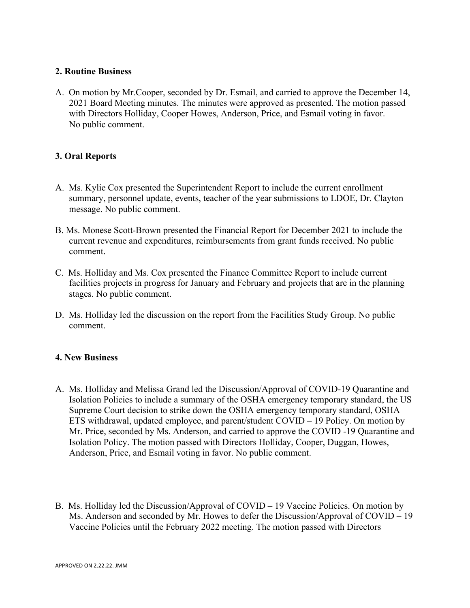## **2. Routine Business**

A. On motion by Mr.Cooper, seconded by Dr. Esmail, and carried to approve the December 14, 2021 Board Meeting minutes. The minutes were approved as presented. The motion passed with Directors Holliday, Cooper Howes, Anderson, Price, and Esmail voting in favor. No public comment.

## **3. Oral Reports**

- A. Ms. Kylie Cox presented the Superintendent Report to include the current enrollment summary, personnel update, events, teacher of the year submissions to LDOE, Dr. Clayton message. No public comment.
- B. Ms. Monese Scott-Brown presented the Financial Report for December 2021 to include the current revenue and expenditures, reimbursements from grant funds received. No public comment.
- C. Ms. Holliday and Ms. Cox presented the Finance Committee Report to include current facilities projects in progress for January and February and projects that are in the planning stages. No public comment.
- D. Ms. Holliday led the discussion on the report from the Facilities Study Group. No public comment.

## **4. New Business**

- A. Ms. Holliday and Melissa Grand led the Discussion/Approval of COVID-19 Quarantine and Isolation Policies to include a summary of the OSHA emergency temporary standard, the US Supreme Court decision to strike down the OSHA emergency temporary standard, OSHA ETS withdrawal, updated employee, and parent/student COVID – 19 Policy. On motion by Mr. Price, seconded by Ms. Anderson, and carried to approve the COVID -19 Quarantine and Isolation Policy. The motion passed with Directors Holliday, Cooper, Duggan, Howes, Anderson, Price, and Esmail voting in favor. No public comment.
- B. Ms. Holliday led the Discussion/Approval of COVID 19 Vaccine Policies. On motion by Ms. Anderson and seconded by Mr. Howes to defer the Discussion/Approval of COVID – 19 Vaccine Policies until the February 2022 meeting. The motion passed with Directors